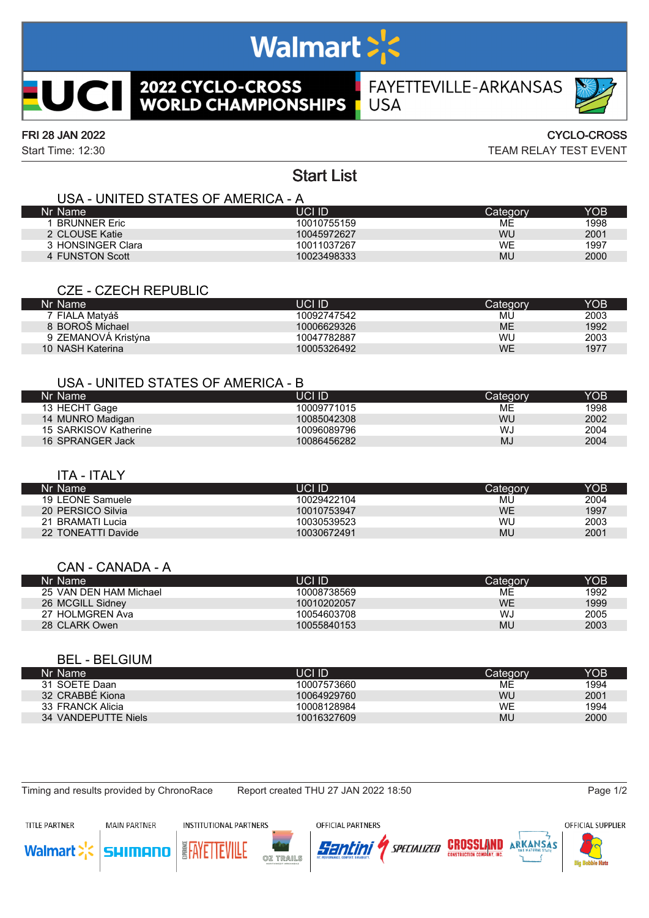# **Walmart > <>>**

# **2022 CYCLO-CROSS<br>WORLD CHAMPIONSHIPS** ICI

FAYETTEVILLE-ARKANSAS **USA** 



### FRI 28 JAN 2022 CYCLO-CROSS

Start Time: 12:30 TEAM RELAY TEST EVENT

## Start List

#### USA - UNITED STATES OF AMERICA - A

| Nr Name             | UCI ID      | Categorv  | YOB  |
|---------------------|-------------|-----------|------|
| <b>BRUNNER Eric</b> | 10010755159 | MЕ        | 1998 |
| 2 CLOUSE Katie      | 10045972627 | WU        | 2001 |
| 3 HONSINGER Clara   | 10011037267 | <b>WE</b> | 1997 |
| 4 FUNSTON Scott     | 10023498333 | MU        | 2000 |

#### CZE - CZECH REPUBLIC

| Nr Name             | UCI ID      | Category  | YOB  |
|---------------------|-------------|-----------|------|
| 7 FIALA Matváš      | 10092747542 | MU        | 2003 |
| 8 BOROŠ Michael     | 10006629326 | <b>ME</b> | 1992 |
| 9 ZEMANOVÁ Kristýna | 10047782887 | WU        | 2003 |
| 10 NASH Katerina    | 10005326492 | <b>WE</b> | 1977 |

#### USA - UNITED STATES OF AMERICA - B

| Nr Name               | UCI ID      | Categorv | YOB  |
|-----------------------|-------------|----------|------|
| 13 HECHT Gage         | 10009771015 | ME       | 1998 |
| 14 MUNRO Madigan      | 10085042308 | WU       | 2002 |
| 15 SARKISOV Katherine | 10096089796 | WJ       | 2004 |
| 16 SPRANGER Jack      | 10086456282 | MJ       | 2004 |

#### ITA - ITALY

| Nr Name            | UCI ID      | Category  | YOB  |
|--------------------|-------------|-----------|------|
| 19 LEONE Samuele   | 10029422104 | MU        | 2004 |
| 20 PERSICO Silvia  | 10010753947 | WE        | 1997 |
| 21 BRAMATI Lucia   | 10030539523 | <b>WU</b> | 2003 |
| 22 TONEATTI Davide | 10030672491 | MU        | 2001 |
|                    |             |           |      |

#### CAN - CANADA - A

| Nr Name                | JCI ID      | Categorv | YOB  |
|------------------------|-------------|----------|------|
| 25 VAN DEN HAM Michael | 10008738569 | МE       | 1992 |
| 26 MCGILL Sidney       | 10010202057 | WE       | 1999 |
| 27 HOLMGREN Ava        | 10054603708 | WJ       | 2005 |
| 28 CLARK Owen          | 10055840153 | MU       | 2003 |

#### BEL - BELGIUM

| Nr Name             | UCI ID      | Category  | YOB  |
|---------------------|-------------|-----------|------|
| 31 SOETE Daan       | 10007573660 | ME        | 1994 |
| 32 CRABBE Kiona     | 10064929760 | WU        | 2001 |
| 33 FRANCK Alicia    | 10008128984 | <b>WE</b> | 1994 |
| 34 VANDEPUTTE Niels | 10016327609 | MU        | 2000 |

ulmon

Timing and results provided by ChronoRace Report created THU 27 JAN 2022 18:50 Page 1/2







Santini